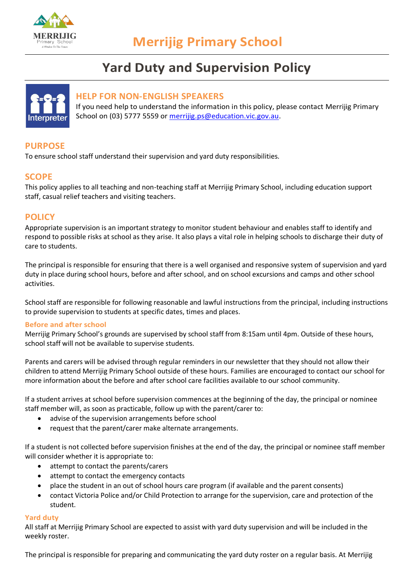

# **Yard Duty and Supervision Policy**



# **HELP FOR NON-ENGLISH SPEAKERS**

If you need help to understand the information in this policy, please contact Merrijig Primary School on (03) 5777 5559 or [merrijig.ps@education.vic.gov.au.](mailto:merrijig.ps@education.vic.gov.au)

# **PURPOSE**

To ensure school staff understand their supervision and yard duty responsibilities.

# **SCOPE**

This policy applies to all teaching and non-teaching staff at Merrijig Primary School, including education support staff, casual relief teachers and visiting teachers.

# **POLICY**

Appropriate supervision is an important strategy to monitor student behaviour and enables staff to identify and respond to possible risks at school as they arise. It also plays a vital role in helping schools to discharge their duty of care to students.

The principal is responsible for ensuring that there is a well organised and responsive system of supervision and yard duty in place during school hours, before and after school, and on school excursions and camps and other school activities.

School staff are responsible for following reasonable and lawful instructions from the principal, including instructions to provide supervision to students at specific dates, times and places.

## **Before and after school**

Merrijig Primary School's grounds are supervised by school staff from 8:15am until 4pm. Outside of these hours, school staff will not be available to supervise students.

Parents and carers will be advised through regular reminders in our newsletter that they should not allow their children to attend Merrijig Primary School outside of these hours. Families are encouraged to contact our school for more information about the before and after school care facilities available to our school community.

If a student arrives at school before supervision commences at the beginning of the day, the principal or nominee staff member will, as soon as practicable, follow up with the parent/carer to:

- advise of the supervision arrangements before school
- request that the parent/carer make alternate arrangements.

If a student is not collected before supervision finishes at the end of the day, the principal or nominee staff member will consider whether it is appropriate to:

- attempt to contact the parents/carers
- attempt to contact the emergency contacts
- place the student in an out of school hours care program (if available and the parent consents)
- contact Victoria Police and/or Child Protection to arrange for the supervision, care and protection of the student.

#### **Yard duty**

All staff at Merrijig Primary School are expected to assist with yard duty supervision and will be included in the weekly roster.

The principal is responsible for preparing and communicating the yard duty roster on a regular basis. At Merrijig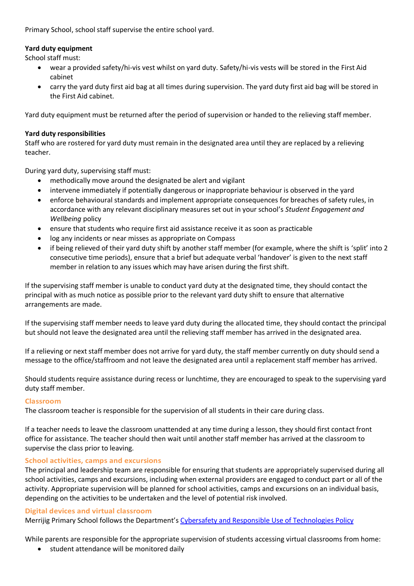Primary School, school staff supervise the entire school yard.

#### **Yard duty equipment**

School staff must:

- wear a provided safety/hi-vis vest whilst on yard duty. Safety/hi-vis vests will be stored in the First Aid cabinet
- carry the yard duty first aid bag at all times during supervision. The yard duty first aid bag will be stored in the First Aid cabinet.

Yard duty equipment must be returned after the period of supervision or handed to the relieving staff member.

#### **Yard duty responsibilities**

Staff who are rostered for yard duty must remain in the designated area until they are replaced by a relieving teacher.

During yard duty, supervising staff must:

- methodically move around the designated be alert and vigilant
- intervene immediately if potentially dangerous or inappropriate behaviour is observed in the yard
- enforce behavioural standards and implement appropriate consequences for breaches of safety rules, in accordance with any relevant disciplinary measures set out in your school's *Student Engagement and Wellbeing* policy
- ensure that students who require first aid assistance receive it as soon as practicable
- log any incidents or near misses as appropriate on Compass
- if being relieved of their yard duty shift by another staff member (for example, where the shift is 'split' into 2 consecutive time periods), ensure that a brief but adequate verbal 'handover' is given to the next staff member in relation to any issues which may have arisen during the first shift.

If the supervising staff member is unable to conduct yard duty at the designated time, they should contact the principal with as much notice as possible prior to the relevant yard duty shift to ensure that alternative arrangements are made.

If the supervising staff member needs to leave yard duty during the allocated time, they should contact the principal but should not leave the designated area until the relieving staff member has arrived in the designated area.

If a relieving or next staff member does not arrive for yard duty, the staff member currently on duty should send a message to the office/staffroom and not leave the designated area until a replacement staff member has arrived.

Should students require assistance during recess or lunchtime, they are encouraged to speak to the supervising yard duty staff member.

#### **Classroom**

The classroom teacher is responsible for the supervision of all students in their care during class.

If a teacher needs to leave the classroom unattended at any time during a lesson, they should first contact front office for assistance. The teacher should then wait until another staff member has arrived at the classroom to supervise the class prior to leaving.

## **School activities, camps and excursions**

The principal and leadership team are responsible for ensuring that students are appropriately supervised during all school activities, camps and excursions, including when external providers are engaged to conduct part or all of the activity. Appropriate supervision will be planned for school activities, camps and excursions on an individual basis, depending on the activities to be undertaken and the level of potential risk involved.

#### **Digital devices and virtual classroom**

Merrijig Primary School follows the Department's [Cybersafety and Responsible Use of Technologies Policy](https://www2.education.vic.gov.au/pal/cybersafety/policy)

While parents are responsible for the appropriate supervision of students accessing virtual classrooms from home:

• student attendance will be monitored daily